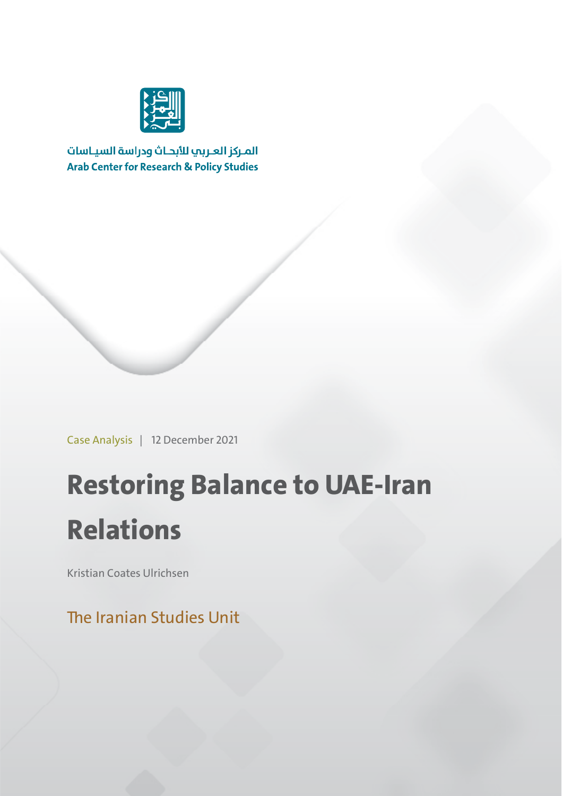

المركز العربب للأبحاث ودراسة السياسات **Arab Center for Research & Policy Studies** 

Case Analysis | 12 December 2021

## **Restoring Balance to UAE-Iran Relations**

Kristian Coates Ulrichsen

The Iranian Studies Unit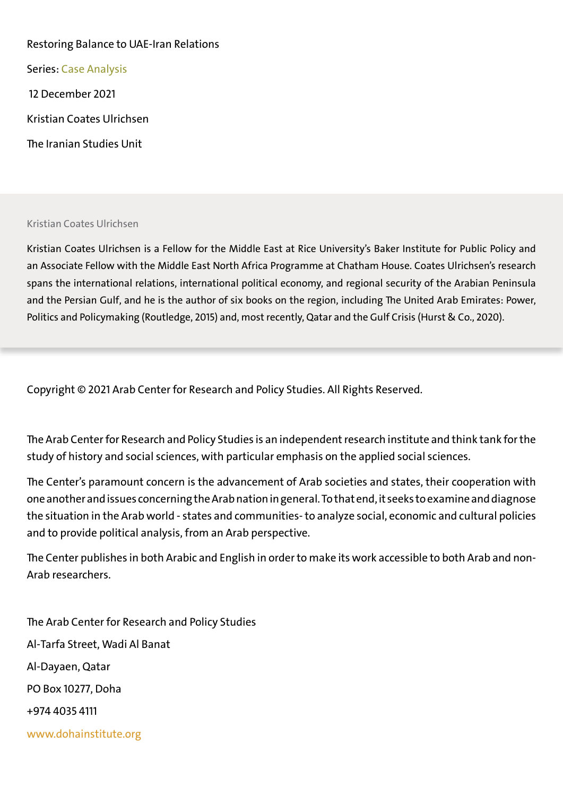## Restoring Balance to UAE-Iran Relations

Series: Case Analysis

12 December 2021

Kristian Coates Ulrichsen

The Iranian Studies Uni

## Kristian Coates Ulrichsen

Kristian Coates Ulrichsen is a Fellow for the Middle East at Rice University's Baker Institute for Public Policy and an Associate Fellow with the Middle East North Africa Programme at Chatham House. Coates Ulrichsen's research spans the international relations, international political economy, and regional security of the Arabian Peninsula and the Persian Gulf, and he is the author of six books on the region, including The United Arab Emirates: Power, Politics and Policymaking (Routledge, 2015) and, most recently, Qatar and the Gulf Crisis (Hurst & Co., 2020).

Copyright © 2021 Arab Center for Research and Policy Studies. All Rights Reserved.

The Arab Center for Research and Policy Studies is an independent research institute and think tank for the study of history and social sciences, with particular emphasis on the applied social sciences.

The Center's paramount concern is the advancement of Arab societies and states, their cooperation with one another and issues concerning the Arab nation in general. To that end, it seeks to examine and diagnose the situation in the Arab world - states and communities- to analyze social, economic and cultural policies and to provide political analysis, from an Arab perspective.

The Center publishes in both Arabic and English in order to make its work accessible to both Arab and non-Arab researchers.

The Arab Center for Research and Policy Studies Al-Tarfa Street, Wadi Al Banat Al-Dayaen, Qatar PO Box 10277, Doha +974 4035 4111 www.dohainstitute.org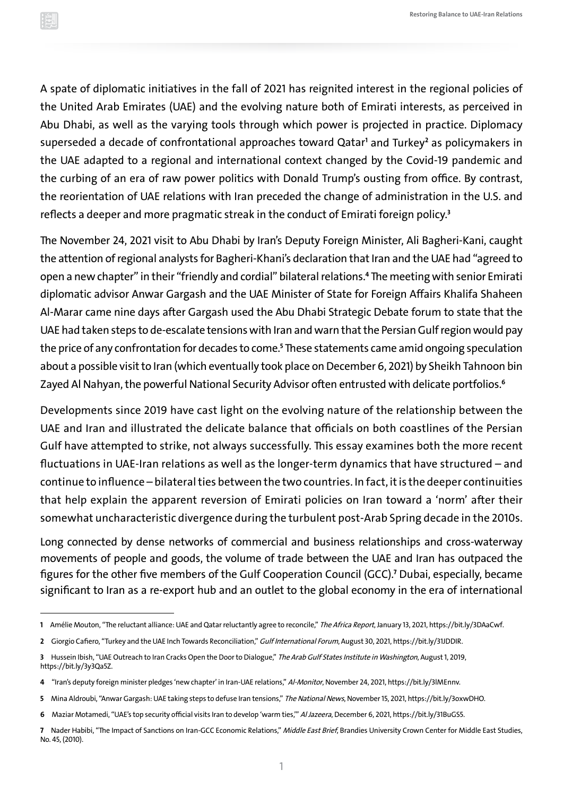A spate of diplomatic initiatives in the fall of 2021 has reignited interest in the regional policies of the United Arab Emirates (UAE) and the evolving nature both of Emirati interests, as perceived in Abu Dhabi, as well as the varying tools through which power is projected in practice. Diplomacy superseded a decade of confrontational approaches toward Qatar **<sup>1</sup>** and Turkey **<sup>2</sup>** as policymakers in the UAE adapted to a regional and international context changed by the Covid-19 pandemic and the curbing of an era of raw power politics with Donald Trump's ousting from office. By contrast, the reorientation of UAE relations with Iran preceded the change of administration in the U.S. and reflects a deeper and more pragmatic streak in the conduct of Emirati foreign policy.**<sup>3</sup>**

The November 24, 2021 visit to Abu Dhabi by Iran's Deputy Foreign Minister, Ali Bagheri-Kani, caught the attention of regional analysts for Bagheri-Khani's declaration that Iran and the UAE had "agreed to open a new chapter" in their "friendly and cordial" bilateral relations.**<sup>4</sup>** The meeting with senior Emirati diplomatic advisor Anwar Gargash and the UAE Minister of State for Foreign Affairs Khalifa Shaheen Al-Marar came nine days after Gargash used the Abu Dhabi Strategic Debate forum to state that the UAE had taken steps to de-escalate tensions with Iran and warn that the Persian Gulf region would pay the price of any confrontation for decades to come.**<sup>5</sup>** These statements came amid ongoing speculation about a possible visit to Iran (which eventually took place on December 6, 2021) by Sheikh Tahnoon bin Zayed Al Nahyan, the powerful National Security Advisor often entrusted with delicate portfolios.**<sup>6</sup>**

Developments since 2019 have cast light on the evolving nature of the relationship between the UAE and Iran and illustrated the delicate balance that officials on both coastlines of the Persian Gulf have attempted to strike, not always successfully. This essay examines both the more recent fluctuations in UAE-Iran relations as well as the longer-term dynamics that have structured – and continue to influence – bilateral ties between the two countries. In fact, it is the deeper continuities that help explain the apparent reversion of Emirati policies on Iran toward a 'norm' after their somewhat uncharacteristic divergence during the turbulent post-Arab Spring decade in the 2010s.

Long connected by dense networks of commercial and business relationships and cross-waterway movements of people and goods, the volume of trade between the UAE and Iran has outpaced the figures for the other five members of the Gulf Cooperation Council (GCC).**<sup>7</sup>** Dubai, especially, became significant to Iran as a re-export hub and an outlet to the global economy in the era of international

**<sup>1</sup>** Amélie Mouton, "The reluctant alliance: UAE and Qatar reluctantly agree to reconcile," The Africa Report, January 13, 2021,<https://bit.ly/3DAaCwf>.

**<sup>2</sup>** Giorgio Cafiero, "Turkey and the UAE Inch Towards Reconciliation," Gulf International Forum, August 30, 2021, <https://bit.ly/31JDDIR>.

**<sup>3</sup>** Hussein Ibish, "UAE Outreach to Iran Cracks Open the Door to Dialogue," The Arab Gulf States Institute in Washington, August 1, 2019, [https://bit.ly/3y3Qa5Z.](https://bit.ly/3y3Qa5Z)

**<sup>4</sup>** "Iran's deputy foreign minister pledges 'new chapter' in Iran-UAE relations," Al-Monitor, November 24, 2021,<https://bit.ly/3lMEnnv>.

**<sup>5</sup>** Mina Aldroubi, "Anwar Gargash: UAE taking steps to defuse Iran tensions," The National News, November 15, 2021, [https://bit.ly/3oxwDHO.](https://bit.ly/3oxwDHO)

**<sup>6</sup>** Maziar Motamedi, "UAE's top security official visits Iran to develop 'warm ties,'" Al Jazeera, December 6, 2021, <https://bit.ly/31BuGS5>.

**<sup>7</sup>** Nader Habibi, "The Impact of Sanctions on Iran-GCC Economic Relations," Middle East Brief, Brandies University Crown Center for Middle East Studies, No. 45, (2010).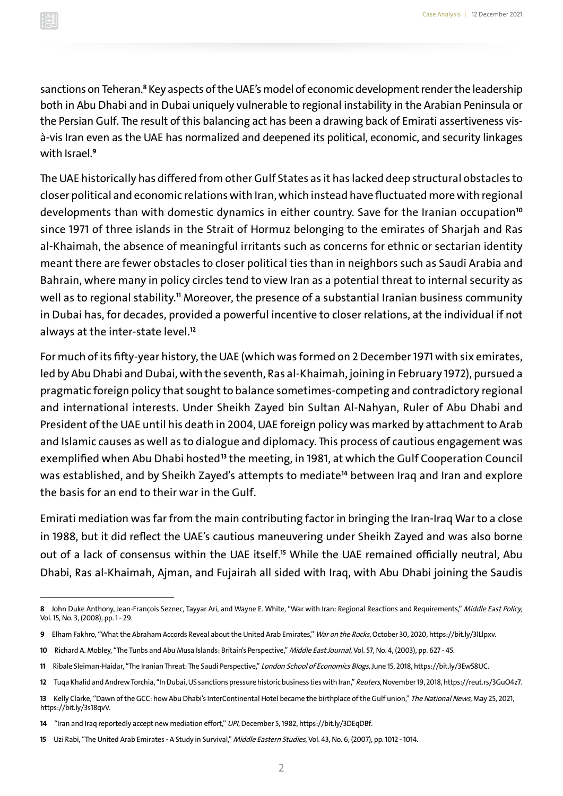sanctions on Teheran.<sup>8</sup> Key aspects of the UAE's model of economic development render the leadership both in Abu Dhabi and in Dubai uniquely vulnerable to regional instability in the Arabian Peninsula or the Persian Gulf. The result of this balancing act has been a drawing back of Emirati assertiveness visà-vis Iran even as the UAE has normalized and deepened its political, economic, and security linkages with Israel.**<sup>9</sup>**

The UAE historically has differed from other Gulf States as it has lacked deep structural obstacles to closer political and economic relations with Iran, which instead have fluctuated more with regional developments than with domestic dynamics in either country. Save for the Iranian occupation **<sup>10</sup>** since 1971 of three islands in the Strait of Hormuz belonging to the emirates of Sharjah and Ras al-Khaimah, the absence of meaningful irritants such as concerns for ethnic or sectarian identity meant there are fewer obstacles to closer political ties than in neighbors such as Saudi Arabia and Bahrain, where many in policy circles tend to view Iran as a potential threat to internal security as well as to regional stability.**<sup>11</sup>** Moreover, the presence of a substantial Iranian business community in Dubai has, for decades, provided a powerful incentive to closer relations, at the individual if not always at the inter-state level.**<sup>12</sup>**

For much of its fifty-year history, the UAE (which was formed on 2 December 1971 with six emirates, led by Abu Dhabi and Dubai, with the seventh, Ras al-Khaimah, joining in February 1972), pursued a pragmatic foreign policy that sought to balance sometimes-competing and contradictory regional and international interests. Under Sheikh Zayed bin Sultan Al-Nahyan, Ruler of Abu Dhabi and President of the UAE until his death in 2004, UAE foreign policy was marked by attachment to Arab and Islamic causes as well as to dialogue and diplomacy. This process of cautious engagement was exemplified when Abu Dhabi hosted **<sup>13</sup>** the meeting, in 1981, at which the Gulf Cooperation Council was established, and by Sheikh Zayed's attempts to mediate **<sup>14</sup>** between Iraq and Iran and explore the basis for an end to their war in the Gulf.

Emirati mediation was far from the main contributing factor in bringing the Iran-Iraq War to a close in 1988, but it did reflect the UAE's cautious maneuvering under Sheikh Zayed and was also borne out of a lack of consensus within the UAE itself.**<sup>15</sup>** While the UAE remained officially neutral, Abu Dhabi, Ras al-Khaimah, Ajman, and Fujairah all sided with Iraq, with Abu Dhabi joining the Saudis

<sup>8</sup> John Duke Anthony, Jean-François Seznec, Tayyar Ari, and Wayne E. White, "War with Iran: Regional Reactions and Requirements," Middle East Policy, Vol. 15, No. 3, (2008), pp. 1- 29.

**<sup>9</sup>** Elham Fakhro, "What the Abraham Accords Reveal about the United Arab Emirates," War on the Rocks, October 30, 2020,<https://bit.ly/3lLlpxv>.

**<sup>10</sup>** Richard A. Mobley, "The Tunbs and Abu Musa Islands: Britain's Perspective," Middle East Journal, Vol. 57, No. 4, (2003), pp. 627 - 45.

**<sup>11</sup>** Ribale Sleiman-Haidar, "The Iranian Threat: The Saudi Perspective," London School of Economics Blogs, June 15, 2018, [https://bit.ly/3Ew58UC.](https://bit.ly/3Ew58UC)

**<sup>12</sup>** Tuqa Khalid and Andrew Torchia, "In Dubai, US sanctions pressure historic business ties with Iran," Reuters, November 19, 2018, [https://reut.rs/3GuO4z7.](https://reut.rs/3GuO4z7)

**<sup>13</sup>** Kelly Clarke, "Dawn of the GCC: how Abu Dhabi's InterContinental Hotel became the birthplace of the Gulf union," The National News, May 25, 2021, <https://bit.ly/3s18qvV>.

**<sup>14</sup>** "Iran and Iraq reportedly accept new mediation effort," UPI, December 5, 1982, [https://bit.ly/3DEqDBf.](https://bit.ly/3DEqDBf)

**<sup>15</sup>** Uzi Rabi, "The United Arab Emirates - A Study in Survival," Middle Eastern Studies, Vol. 43, No. 6, (2007), pp. 1012 -1014.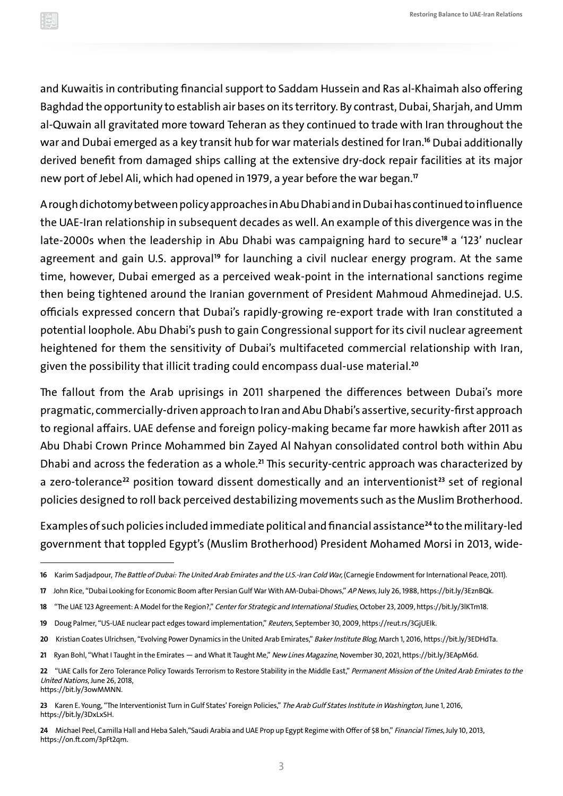and Kuwaitis in contributing financial support to Saddam Hussein and Ras al-Khaimah also offering Baghdad the opportunity to establish air bases on its territory. By contrast, Dubai, Sharjah, and Umm al-Quwain all gravitated more toward Teheran as they continued to trade with Iran throughout the war and Dubai emerged as a key transit hub for war materials destined for Iran.**<sup>16</sup>** Dubai additionally derived benefit from damaged ships calling at the extensive dry-dock repair facilities at its major new port of Jebel Ali, which had opened in 1979, a year before the war began.**<sup>17</sup>**

A rough dichotomy between policy approaches in Abu Dhabi and in Dubai has continued to influence the UAE-Iran relationship in subsequent decades as well. An example of this divergence was in the late-2000s when the leadership in Abu Dhabi was campaigning hard to secure<sup>18</sup> a '123' nuclear agreement and gain U.S. approval<sup>19</sup> for launching a civil nuclear energy program. At the same time, however, Dubai emerged as a perceived weak-point in the international sanctions regime then being tightened around the Iranian government of President Mahmoud Ahmedinejad. U.S. officials expressed concern that Dubai's rapidly-growing re-export trade with Iran constituted a potential loophole. Abu Dhabi's push to gain Congressional support for its civil nuclear agreement heightened for them the sensitivity of Dubai's multifaceted commercial relationship with Iran, given the possibility that illicit trading could encompass dual-use material.**<sup>20</sup>**

The fallout from the Arab uprisings in 2011 sharpened the differences between Dubai's more pragmatic, commercially-driven approach to Iran and Abu Dhabi's assertive, security-first approach to regional affairs. UAE defense and foreign policy-making became far more hawkish after 2011 as Abu Dhabi Crown Prince Mohammed bin Zayed Al Nahyan consolidated control both within Abu Dhabi and across the federation as a whole.**<sup>21</sup>** This security-centric approach was characterized by a zero-tolerance **<sup>22</sup>** position toward dissent domestically and an interventionist **<sup>23</sup>** set of regional policies designed to roll back perceived destabilizing movements such as the Muslim Brotherhood.

Examples of such policies included immediate political and financial assistance **<sup>24</sup>** to the military-led government that toppled Egypt's (Muslim Brotherhood) President Mohamed Morsi in 2013, wide-

24 Michael Peel, Camilla Hall and Heba Saleh, "Saudi Arabia and UAE Prop up Egypt Regime with Offer of \$8 bn," Financial Times, July 10, 2013, [https://on.ft.com/3pFt2qm.](https://on.ft.com/3pFt2qm)

<sup>16</sup> Karim Sadjadpour, The Battle of Dubai: The United Arab Emirates and the U.S.-Iran Cold War, (Carnegie Endowment for International Peace, 2011).

**<sup>17</sup>** John Rice, "Dubai Looking for Economic Boom after Persian Gulf War With AM-Dubai-Dhows," AP News, July 26, 1988,<https://bit.ly/3EznBQk>.

**<sup>18</sup>** "The UAE 123 Agreement: A Model for the Region?," Center for Strategic and International Studies, October 23, 2009, [https://bit.ly/3lKTm18.](https://bit.ly/3lKTm18)

**<sup>19</sup>** Doug Palmer, "US-UAE nuclear pact edges toward implementation," Reuters, September 30, 2009, <https://reut.rs/3GjUEIk>.

**<sup>20</sup>** Kristian Coates Ulrichsen, "Evolving Power Dynamics in the United Arab Emirates," Baker Institute Blog, March 1, 2016, [https://bit.ly/3EDHdTa.](https://bit.ly/3EDHdTa)

**<sup>21</sup>** Ryan Bohl, "What I Taught in the Emirates — and What It Taught Me," New Lines Magazine, November 30, 2021, <https://bit.ly/3EApM6d>.

<sup>22 &</sup>quot;UAE Calls for Zero Tolerance Policy Towards Terrorism to Restore Stability in the Middle East," Permanent Mission of the United Arab Emirates to the United Nations, June 26, 2018, <https://bit.ly/3owMMNN>.

**<sup>23</sup>** Karen E. Young, "The Interventionist Turn in Gulf States' Foreign Policies," The Arab Gulf States Institute in Washington, June 1, 2016, [https://bit.ly/3DxLxSH.](https://bit.ly/3DxLxSH)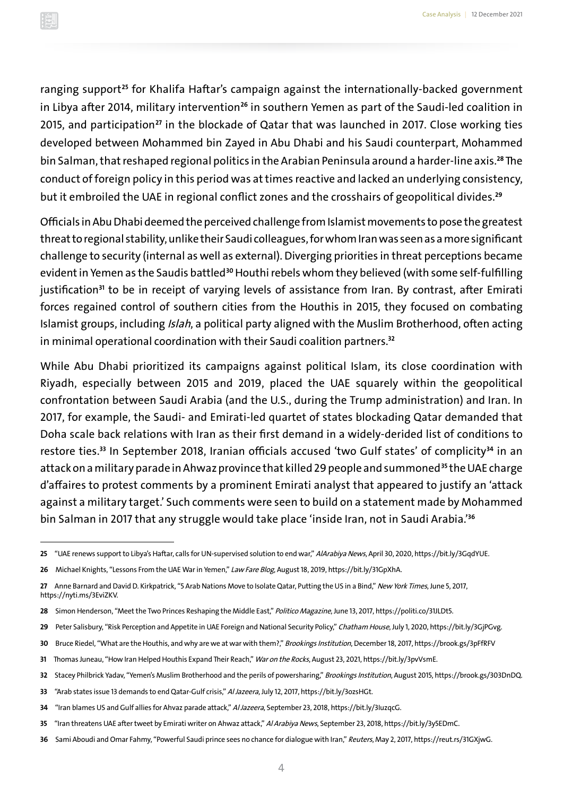ranging support **<sup>25</sup>** for Khalifa Haftar's campaign against the internationally-backed government in Libya after 2014, military intervention **<sup>26</sup>** in southern Yemen as part of the Saudi-led coalition in 2015, and participation **<sup>27</sup>** in the blockade of Qatar that was launched in 2017. Close working ties developed between Mohammed bin Zayed in Abu Dhabi and his Saudi counterpart, Mohammed bin Salman, that reshaped regional politics in the Arabian Peninsula around a harder-line axis.**<sup>28</sup>** The conduct of foreign policy in this period was at times reactive and lacked an underlying consistency, but it embroiled the UAE in regional conflict zones and the crosshairs of geopolitical divides.**<sup>29</sup>**

Officials in Abu Dhabi deemed the perceived challenge from Islamist movements to pose the greatest threat to regional stability, unlike their Saudi colleagues, for whom Iran was seen as a more significant challenge to security (internal as well as external). Diverging priorities in threat perceptions became evident in Yemen as the Saudis battled **<sup>30</sup>** Houthi rebels whom they believed (with some self-fulfilling justification<sup>31</sup> to be in receipt of varying levels of assistance from Iran. By contrast, after Emirati forces regained control of southern cities from the Houthis in 2015, they focused on combating Islamist groups, including Islah, a political party aligned with the Muslim Brotherhood, often acting in minimal operational coordination with their Saudi coalition partners.**<sup>32</sup>**

While Abu Dhabi prioritized its campaigns against political Islam, its close coordination with Riyadh, especially between 2015 and 2019, placed the UAE squarely within the geopolitical confrontation between Saudi Arabia (and the U.S., during the Trump administration) and Iran. In 2017, for example, the Saudi- and Emirati-led quartet of states blockading Qatar demanded that Doha scale back relations with Iran as their first demand in a widely-derided list of conditions to restore ties.**<sup>33</sup>** In September 2018, Iranian officials accused 'two Gulf states' of complicity **<sup>34</sup>** in an attack on a military parade in Ahwaz province that killed 29 people and summoned **<sup>35</sup>** the UAE charge d'affaires to protest comments by a prominent Emirati analyst that appeared to justify an 'attack against a military target.' Such comments were seen to build on a statement made by Mohammed bin Salman in 2017 that any struggle would take place 'inside Iran, not in Saudi Arabia.'**<sup>36</sup>**

- **30** Bruce Riedel, "What are the Houthis, and why are we at war with them?," Brookings Institution, December 18, 2017, https://brook.gs/3pFfRFV
- **31** Thomas Juneau, "How Iran Helped Houthis Expand Their Reach," War on the Rocks, August 23, 2021,<https://bit.ly/3pvVsmE>.
- **32** Stacey Philbrick Yadav, "Yemen's Muslim Brotherhood and the perils of powersharing," Brookings Institution, August 2015, [https://brook.gs/303DnDQ.](https://brook.gs/303DnDQ)
- **33** "Arab states issue 13 demands to end Qatar-Gulf crisis," Al Jazeera, July 12, 2017, [https://bit.ly/3ozsHGt.](https://bit.ly/3ozsHGt)
- **34** "Iran blames US and Gulf allies for Ahvaz parade attack," Al Jazeera, September 23, 2018, [https://bit.ly/3IuzqcG.](https://bit.ly/3IuzqcG)
- **35** "Iran threatens UAE after tweet by Emirati writer on Ahwaz attack," Al Arabiya News, September 23, 2018, [https://bit.ly/3y5EDmC.](https://bit.ly/3y5EDmC)
- **36** Sami Aboudi and Omar Fahmy, "Powerful Saudi prince sees no chance for dialogue with Iran," Reuters, May 2, 2017, <https://reut.rs/31GXjwG>.

**<sup>25</sup>** "UAE renews support to Libya's Haftar, calls for UN-supervised solution to end war," AlArabiya News, April 30, 2020,<https://bit.ly/3GqdYUE>.

**<sup>26</sup>** Michael Knights, "Lessons From the UAE War in Yemen," Law Fare Blog, August 18, 2019, [https://bit.ly/31GpXhA.](https://bit.ly/31GpXhA)

**<sup>27</sup>** Anne Barnard and David D. Kirkpatrick, "5 Arab Nations Move to Isolate Qatar, Putting the US in a Bind," New York Times, June 5, 2017, <https://nyti.ms/3EviZKV>.

**<sup>28</sup>** Simon Henderson, "Meet the Two Princes Reshaping the Middle East," Politico Magazine, June 13, 2017, [https://politi.co/31JLDt5.](https://politi.co/31JLDt5)

**<sup>29</sup>** Peter Salisbury, "Risk Perception and Appetite in UAE Foreign and National Security Policy," Chatham House, July 1, 2020, [https://bit.ly/3GjPGvg.](https://bit.ly/3GjPGvg)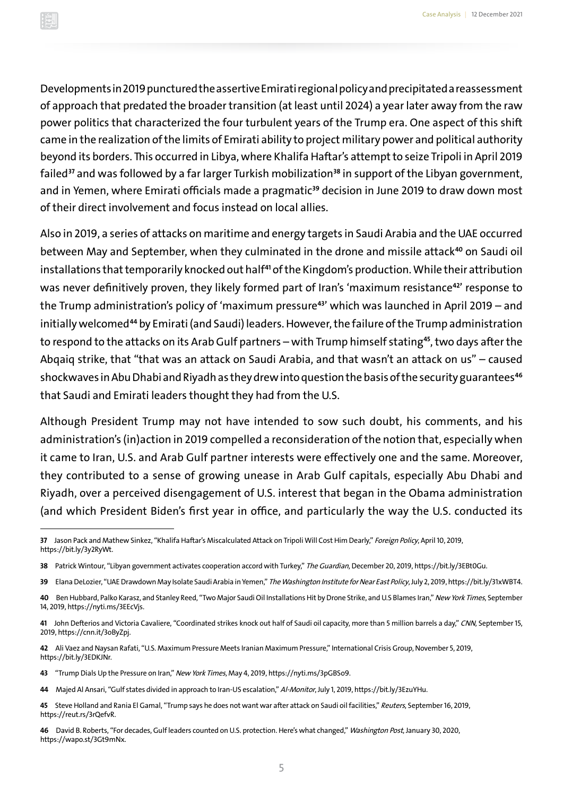Developments in 2019 punctured the assertive Emirati regional policy and precipitated a reassessment of approach that predated the broader transition (at least until 2024) a year later away from the raw power politics that characterized the four turbulent years of the Trump era. One aspect of this shift came in the realization of the limits of Emirati ability to project military power and political authority beyond its borders. This occurred in Libya, where Khalifa Haftar's attempt to seize Tripoli in April 2019 failed **<sup>37</sup>** and was followed by a far larger Turkish mobilization **<sup>38</sup>** in support of the Libyan government, and in Yemen, where Emirati officials made a pragmatic **<sup>39</sup>** decision in June 2019 to draw down most of their direct involvement and focus instead on local allies.

Also in 2019, a series of attacks on maritime and energy targets in Saudi Arabia and the UAE occurred between May and September, when they culminated in the drone and missile attack **<sup>40</sup>** on Saudi oil installations that temporarily knocked out half<sup>41</sup> of the Kingdom's production. While their attribution was never definitively proven, they likely formed part of Iran's 'maximum resistance<sup>42</sup>' response to the Trump administration's policy of 'maximum pressure **<sup>43</sup>**' which was launched in April 2019 – and initially welcomed **<sup>44</sup>** by Emirati (and Saudi) leaders. However, the failure of the Trump administration to respond to the attacks on its Arab Gulf partners – with Trump himself stating **<sup>45</sup>**, two days after the Abqaiq strike, that "that was an attack on Saudi Arabia, and that wasn't an attack on us" – caused shockwaves in Abu Dhabi and Riyadh as they drew into question the basis of the security guarantees **<sup>46</sup>** that Saudi and Emirati leaders thought they had from the U.S.

Although President Trump may not have intended to sow such doubt, his comments, and his administration's (in)action in 2019 compelled a reconsideration of the notion that, especially when it came to Iran, U.S. and Arab Gulf partner interests were effectively one and the same. Moreover, they contributed to a sense of growing unease in Arab Gulf capitals, especially Abu Dhabi and Riyadh, over a perceived disengagement of U.S. interest that began in the Obama administration (and which President Biden's first year in office, and particularly the way the U.S. conducted its

**45** Steve Holland and Rania El Gamal, "Trump says he does not want war after attack on Saudi oil facilities," Reuters, September 16, 2019, [https://reut.rs/3rQefvR.](https://reut.rs/3rQefvR)

**46** David B. Roberts, "For decades, Gulf leaders counted on U.S. protection. Here's what changed," Washington Post, January 30, 2020, [https://wapo.st/3Gt9mNx.](https://wapo.st/3Gt9mNx)

**<sup>37</sup>** Jason Pack and Mathew Sinkez, "Khalifa Haftar's Miscalculated Attack on Tripoli Will Cost Him Dearly," Foreign Policy, April 10, 2019, <https://bit.ly/3y2RyWt>.

**<sup>38</sup>** Patrick Wintour, "Libyan government activates cooperation accord with Turkey," The Guardian, December 20, 2019, [https://bit.ly/3EBt0Gu.](https://bit.ly/3EBt0Gu)

**<sup>39</sup>** Elana DeLozier, "UAE Drawdown May Isolate Saudi Arabia in Yemen," The Washington Institute for Near East Policy, July 2, 2019, [https://bit.ly/31xWBT4.](https://bit.ly/31xWBT4)

**<sup>40</sup>** Ben Hubbard, Palko Karasz, and Stanley Reed, "Two Major Saudi Oil Installations Hit by Drone Strike, and U.S Blames Iran," New York Times, September 14, 2019, <https://nyti.ms/3EEcVjs>.

**<sup>41</sup>** John Defterios and Victoria Cavaliere, "Coordinated strikes knock out half of Saudi oil capacity, more than 5 million barrels a day," CNN, September 15, 2019, [https://cnn.it/3oByZpj.](https://cnn.it/3oByZpj)

**<sup>42</sup>** Ali Vaez and Naysan Rafati, "U.S. Maximum Pressure Meets Iranian Maximum Pressure," International Crisis Group, November 5, 2019, [https://bit.ly/3EDKJNr.](https://bit.ly/3EDKJNr)

**<sup>43</sup>** "Trump Dials Up the Pressure on Iran," New York Times, May 4, 2019, <https://nyti.ms/3pGBSo9>.

**<sup>44</sup>** Majed Al Ansari, "Gulf states divided in approach to Iran-US escalation," Al-Monitor, July 1, 2019, [https://bit.ly/3EzuYHu.](https://bit.ly/3EzuYHu)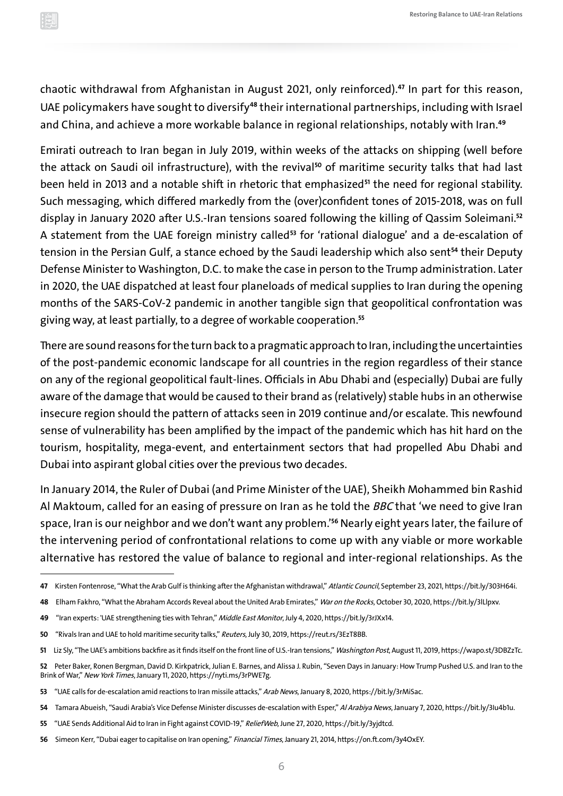chaotic withdrawal from Afghanistan in August 2021, only reinforced).**<sup>47</sup>** In part for this reason, UAE policymakers have sought to diversify **<sup>48</sup>** their international partnerships, including with Israel and China, and achieve a more workable balance in regional relationships, notably with Iran.**<sup>49</sup>**

Emirati outreach to Iran began in July 2019, within weeks of the attacks on shipping (well before the attack on Saudi oil infrastructure), with the revival **<sup>50</sup>** of maritime security talks that had last been held in 2013 and a notable shift in rhetoric that emphasized **<sup>51</sup>** the need for regional stability. Such messaging, which differed markedly from the (over)confident tones of 2015-2018, was on full display in January 2020 after U.S.-Iran tensions soared following the killing of Qassim Soleimani.**<sup>52</sup>** A statement from the UAE foreign ministry called **<sup>53</sup>** for 'rational dialogue' and a de-escalation of tension in the Persian Gulf, a stance echoed by the Saudi leadership which also sent **<sup>54</sup>** their Deputy Defense Minister to Washington, D.C. to make the case in person to the Trump administration. Later in 2020, the UAE dispatched at least four planeloads of medical supplies to Iran during the opening months of the SARS-CoV-2 pandemic in another tangible sign that geopolitical confrontation was giving way, at least partially, to a degree of workable cooperation.**<sup>55</sup>**

There are sound reasons for the turn back to a pragmatic approach to Iran, including the uncertainties of the post-pandemic economic landscape for all countries in the region regardless of their stance on any of the regional geopolitical fault-lines. Officials in Abu Dhabi and (especially) Dubai are fully aware of the damage that would be caused to their brand as (relatively) stable hubs in an otherwise insecure region should the pattern of attacks seen in 2019 continue and/or escalate. This newfound sense of vulnerability has been amplified by the impact of the pandemic which has hit hard on the tourism, hospitality, mega-event, and entertainment sectors that had propelled Abu Dhabi and Dubai into aspirant global cities over the previous two decades.

In January 2014, the Ruler of Dubai (and Prime Minister of the UAE), Sheikh Mohammed bin Rashid Al Maktoum, called for an easing of pressure on Iran as he told the BBC that 'we need to give Iran space, Iran is our neighbor and we don't want any problem.'**<sup>56</sup>** Nearly eight years later, the failure of the intervening period of confrontational relations to come up with any viable or more workable alternative has restored the value of balance to regional and inter-regional relationships. As the

- **54** Tamara Abueish, "Saudi Arabia's Vice Defense Minister discusses de-escalation with Esper," Al Arabiya News, January 7, 2020,<https://bit.ly/3Iu4b1u>.
- **55** "UAE Sends Additional Aid to Iran in Fight against COVID-19," ReliefWeb, June 27, 2020, [https://bit.ly/3yjdtcd.](https://bit.ly/3yjdtcd)
- **56** Simeon Kerr, "Dubai eager to capitalise on Iran opening," Financial Times, January 21, 2014,<https://on.ft.com/3y4OxEY>.

**<sup>47</sup>** Kirsten Fontenrose, "What the Arab Gulf is thinking after the Afghanistan withdrawal," Atlantic Council, September 23, 2021, <https://bit.ly/303H64i>.

**<sup>48</sup>** Elham Fakhro, "What the Abraham Accords Reveal about the United Arab Emirates," War on the Rocks, October 30, 2020,<https://bit.ly/3lLlpxv>.

**<sup>49</sup>** "Iran experts: 'UAE strengthening ties with Tehran," Middle East Monitor, July 4, 2020,<https://bit.ly/3rJXx14>.

**<sup>50</sup>** "Rivals Iran and UAE to hold maritime security talks," Reuters, July 30, 2019, [https://reut.rs/3EzT8BB.](https://reut.rs/3EzT8BB)

**<sup>51</sup>** Liz Sly, "The UAE's ambitions backfire as it finds itself on the front line of U.S.-Iran tensions," Washington Post, August 11, 2019, [https://wapo.st/3DBZzTc.](https://wapo.st/3DBZzTc)

**<sup>52</sup>** Peter Baker, Ronen Bergman, David D. Kirkpatrick, Julian E. Barnes, and Alissa J. Rubin, "Seven Days in January: How Trump Pushed U.S. and Iran to the Brink of War," New York Times, January 11, 2020, <https://nyti.ms/3rPWE7g>.

**<sup>53</sup>** "UAE calls for de-escalation amid reactions to Iran missile attacks," Arab News, January 8, 2020, [https://bit.ly/3rMiSac.](https://bit.ly/3rMiSac)